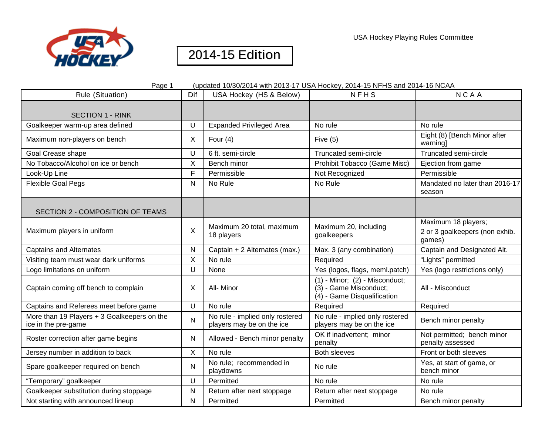

| Page 1                                                             |              | (updated 10/30/2014 with 2013-17 USA Hockey, 2014-15 NFHS and 2014-16 NCAA |                                                                                             |                                                                 |
|--------------------------------------------------------------------|--------------|----------------------------------------------------------------------------|---------------------------------------------------------------------------------------------|-----------------------------------------------------------------|
| Rule (Situation)                                                   | Dif          | USA Hockey (HS & Below)                                                    | <b>NFHS</b>                                                                                 | <b>NCAA</b>                                                     |
| <b>SECTION 1 - RINK</b>                                            |              |                                                                            |                                                                                             |                                                                 |
| Goalkeeper warm-up area defined                                    | U            | <b>Expanded Privileged Area</b>                                            | No rule                                                                                     | No rule                                                         |
| Maximum non-players on bench                                       | X            | Four $(4)$                                                                 | Five $(5)$                                                                                  | Eight (8) [Bench Minor after<br>warning]                        |
| Goal Crease shape                                                  | U            | 6 ft. semi-circle                                                          | Truncated semi-circle                                                                       | Truncated semi-circle                                           |
| No Tobacco/Alcohol on ice or bench                                 | X            | Bench minor                                                                | Prohibit Tobacco (Game Misc)                                                                | Ejection from game                                              |
| Look-Up Line                                                       | F            | Permissible                                                                | Not Recognized                                                                              | Permissible                                                     |
| <b>Flexible Goal Pegs</b>                                          | N            | No Rule                                                                    | No Rule                                                                                     | Mandated no later than 2016-17<br>season                        |
| SECTION 2 - COMPOSITION OF TEAMS                                   |              |                                                                            |                                                                                             |                                                                 |
| Maximum players in uniform                                         | X            | Maximum 20 total, maximum<br>18 players                                    | Maximum 20, including<br>goalkeepers                                                        | Maximum 18 players;<br>2 or 3 goalkeepers (non exhib.<br>games) |
| <b>Captains and Alternates</b>                                     | $\mathsf{N}$ | Captain + 2 Alternates (max.)                                              | Max. 3 (any combination)                                                                    | Captain and Designated Alt.                                     |
| Visiting team must wear dark uniforms                              | X            | No rule                                                                    | Required                                                                                    | "Lights" permitted                                              |
| Logo limitations on uniform                                        | $\cup$       | None                                                                       | Yes (logos, flags, meml.patch)                                                              | Yes (logo restrictions only)                                    |
| Captain coming off bench to complain                               | $\times$     | All- Minor                                                                 | $(1)$ - Minor; $(2)$ - Misconduct;<br>(3) - Game Misconduct;<br>(4) - Game Disqualification | All - Misconduct                                                |
| Captains and Referees meet before game                             | $\cup$       | No rule                                                                    | Required                                                                                    | Required                                                        |
| More than 19 Players + 3 Goalkeepers on the<br>ice in the pre-game | $\mathsf{N}$ | No rule - implied only rostered<br>players may be on the ice               | No rule - implied only rostered<br>players may be on the ice                                | Bench minor penalty                                             |
| Roster correction after game begins                                | N            | Allowed - Bench minor penalty                                              | OK if inadvertent; minor<br>penalty                                                         | Not permitted; bench minor<br>penalty assessed                  |
| Jersey number in addition to back                                  | $\sf X$      | No rule                                                                    | <b>Both sleeves</b>                                                                         | Front or both sleeves                                           |
| Spare goalkeeper required on bench                                 | $\mathsf{N}$ | No rule; recommended in<br>playdowns                                       | No rule                                                                                     | Yes, at start of game, or<br>bench minor                        |
| "Temporary" goalkeeper                                             | U            | Permitted                                                                  | No rule                                                                                     | No rule                                                         |
| Goalkeeper substitution during stoppage                            | N            | Return after next stoppage                                                 | Return after next stoppage                                                                  | No rule                                                         |
| Not starting with announced lineup                                 | $\mathsf{N}$ | Permitted                                                                  | Permitted                                                                                   | Bench minor penalty                                             |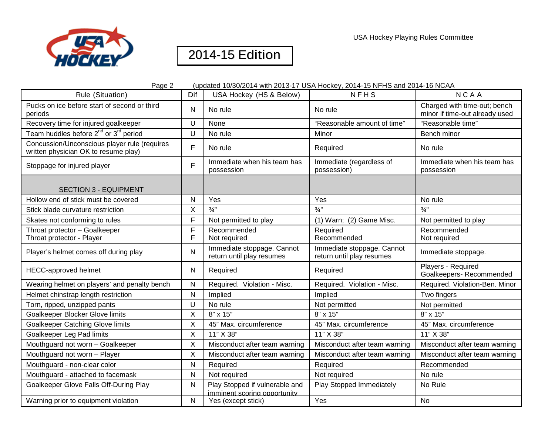

| Page 2<br>(updated 10/30/2014 with 2013-17 USA Hockey, 2014-15 NFHS and 2014-16 NCAA |              |                                                                |                                                         |                                                                |  |
|--------------------------------------------------------------------------------------|--------------|----------------------------------------------------------------|---------------------------------------------------------|----------------------------------------------------------------|--|
| Rule (Situation)                                                                     | Dif          | USA Hockey (HS & Below)                                        | NFHS                                                    | <b>NCAA</b>                                                    |  |
| Pucks on ice before start of second or third<br>periods                              | N            | No rule                                                        | No rule                                                 | Charged with time-out; bench<br>minor if time-out already used |  |
| Recovery time for injured goalkeeper                                                 | U            | None                                                           | "Reasonable amount of time"                             | "Reasonable time"                                              |  |
| Team huddles before 2 <sup>nd</sup> or 3 <sup>rd</sup> period                        | U            | No rule                                                        | Minor                                                   | Bench minor                                                    |  |
| Concussion/Unconscious player rule (requires<br>written physician OK to resume play) | F            | No rule                                                        | Required                                                | No rule                                                        |  |
| Stoppage for injured player                                                          | F            | Immediate when his team has<br>possession                      | Immediate (regardless of<br>possession)                 | Immediate when his team has<br>possession                      |  |
| <b>SECTION 3 - EQUIPMENT</b>                                                         |              |                                                                |                                                         |                                                                |  |
| Hollow end of stick must be covered                                                  | N            | Yes                                                            | Yes                                                     | No rule                                                        |  |
| Stick blade curvature restriction                                                    | X            | $\frac{3}{4}$                                                  | $\frac{3}{4}$                                           | $\frac{3}{4}$ "                                                |  |
| Skates not conforming to rules                                                       | F            | Not permitted to play                                          | (1) Warn; (2) Game Misc.                                | Not permitted to play                                          |  |
| Throat protector - Goalkeeper<br>Throat protector - Player                           | F<br>F       | Recommended<br>Not required                                    | Required<br>Recommended                                 | Recommended<br>Not required                                    |  |
| Player's helmet comes off during play                                                | N            | Immediate stoppage. Cannot<br>return until play resumes        | Immediate stoppage. Cannot<br>return until play resumes | Immediate stoppage.                                            |  |
| <b>HECC-approved helmet</b>                                                          | N            | Required                                                       | Required                                                | Players - Required<br>Goalkeepers-Recommended                  |  |
| Wearing helmet on players' and penalty bench                                         | N            | Required. Violation - Misc.                                    | Required. Violation - Misc.                             | Required. Violation-Ben. Minor                                 |  |
| Helmet chinstrap length restriction                                                  | N            | Implied                                                        | Implied                                                 | Two fingers                                                    |  |
| Torn, ripped, unzipped pants                                                         | U            | No rule                                                        | Not permitted                                           | Not permitted                                                  |  |
| Goalkeeper Blocker Glove limits                                                      | X            | 8" x 15"                                                       | 8" x 15"                                                | 8" x 15"                                                       |  |
| <b>Goalkeeper Catching Glove limits</b>                                              | X            | 45" Max. circumference                                         | 45" Max. circumference                                  | 45" Max. circumference                                         |  |
| <b>Goalkeeper Leg Pad limits</b>                                                     | X            | 11" X 38"                                                      | 11" X 38"                                               | 11" X 38"                                                      |  |
| Mouthguard not worn - Goalkeeper                                                     | X            | Misconduct after team warning                                  | Misconduct after team warning                           | Misconduct after team warning                                  |  |
| Mouthguard not worn - Player                                                         | X            | Misconduct after team warning                                  | Misconduct after team warning                           | Misconduct after team warning                                  |  |
| Mouthguard - non-clear color                                                         | N            | Required                                                       | Required                                                | Recommended                                                    |  |
| Mouthguard - attached to facemask                                                    | N            | Not required                                                   | Not required                                            | No rule                                                        |  |
| Goalkeeper Glove Falls Off-During Play                                               | $\mathsf{N}$ | Play Stopped if vulnerable and<br>imminent scoring opportunity | Play Stopped Immediately                                | No Rule                                                        |  |
| Warning prior to equipment violation                                                 | N            | Yes (except stick)                                             | Yes                                                     | <b>No</b>                                                      |  |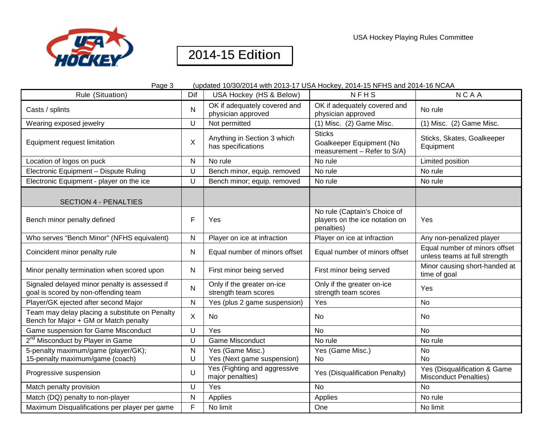



| Page 3<br>(updated 10/30/2014 with 2013-17 USA Hockey, 2014-15 NFHS and 2014-16 NCAA    |              |                                                    |                                                                              |                                                                |
|-----------------------------------------------------------------------------------------|--------------|----------------------------------------------------|------------------------------------------------------------------------------|----------------------------------------------------------------|
| Rule (Situation)                                                                        | Dif          | USA Hockey (HS & Below)                            | <b>NFHS</b>                                                                  | <b>NCAA</b>                                                    |
| Casts / splints                                                                         | N            | OK if adequately covered and<br>physician approved | OK if adequately covered and<br>physician approved                           | No rule                                                        |
| Wearing exposed jewelry                                                                 | U            | Not permitted                                      | (1) Misc. (2) Game Misc.                                                     | (1) Misc. (2) Game Misc.                                       |
| Equipment request limitation                                                            | X            | Anything in Section 3 which<br>has specifications  | <b>Sticks</b><br>Goalkeeper Equipment (No<br>measurement - Refer to S/A)     | Sticks, Skates, Goalkeeper<br>Equipment                        |
| Location of logos on puck                                                               | N            | No rule                                            | No rule                                                                      | Limited position                                               |
| Electronic Equipment - Dispute Ruling                                                   | U            | Bench minor, equip. removed                        | No rule                                                                      | No rule                                                        |
| Electronic Equipment - player on the ice                                                | U            | Bench minor; equip. removed                        | No rule                                                                      | No rule                                                        |
| <b>SECTION 4 - PENALTIES</b>                                                            |              |                                                    |                                                                              |                                                                |
| Bench minor penalty defined                                                             | F            | Yes                                                | No rule (Captain's Choice of<br>players on the ice notation on<br>penalties) | Yes                                                            |
| Who serves "Bench Minor" (NFHS equivalent)                                              | Ν            | Player on ice at infraction                        | Player on ice at infraction                                                  | Any non-penalized player                                       |
| Coincident minor penalty rule                                                           | N            | Equal number of minors offset                      | Equal number of minors offset                                                | Equal number of minors offset<br>unless teams at full strength |
| Minor penalty termination when scored upon                                              | N            | First minor being served                           | First minor being served                                                     | Minor causing short-handed at<br>time of goal                  |
| Signaled delayed minor penalty is assessed if<br>goal is scored by non-offending team   | N            | Only if the greater on-ice<br>strength team scores | Only if the greater on-ice<br>strength team scores                           | Yes                                                            |
| Player/GK ejected after second Major                                                    | $\mathsf{N}$ | Yes (plus 2 game suspension)                       | Yes                                                                          | No                                                             |
| Team may delay placing a substitute on Penalty<br>Bench for Major + GM or Match penalty | X            | No                                                 | No                                                                           | No                                                             |
| Game suspension for Game Misconduct                                                     | U            | Yes                                                | <b>No</b>                                                                    | No.                                                            |
| 2 <sup>nd</sup> Misconduct by Player in Game                                            | U            | <b>Game Misconduct</b>                             | No rule                                                                      | No rule                                                        |
| 5-penalty maximum/game (player/GK);                                                     | $\mathsf{N}$ | Yes (Game Misc.)                                   | Yes (Game Misc.)                                                             | No                                                             |
| 15-penalty maximum/game (coach)                                                         | U            | Yes (Next game suspension)                         | No                                                                           | <b>No</b>                                                      |
| Progressive suspension                                                                  | U            | Yes (Fighting and aggressive<br>major penalties)   | Yes (Disqualification Penalty)                                               | Yes (Disqualification & Game<br><b>Misconduct Penalties)</b>   |
| Match penalty provision                                                                 | U            | Yes                                                | No                                                                           | No                                                             |
| Match (DQ) penalty to non-player                                                        | N            | Applies                                            | Applies                                                                      | No rule                                                        |
| Maximum Disqualifications per player per game                                           | F            | No limit                                           | One                                                                          | No limit                                                       |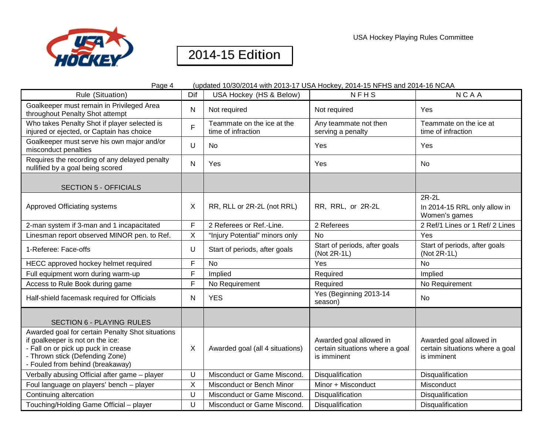

USA Hockey Playing Rules Committee

| Page 4<br>(updated 10/30/2014 with 2013-17 USA Hockey, 2014-15 NFHS and 2014-16 NCAA                                                                                                               |              |                                                  |                                                                           |                                                                           |  |
|----------------------------------------------------------------------------------------------------------------------------------------------------------------------------------------------------|--------------|--------------------------------------------------|---------------------------------------------------------------------------|---------------------------------------------------------------------------|--|
| Rule (Situation)                                                                                                                                                                                   | Dif          | USA Hockey (HS & Below)                          | <b>NFHS</b>                                                               | <b>NCAA</b>                                                               |  |
| Goalkeeper must remain in Privileged Area<br>throughout Penalty Shot attempt                                                                                                                       | $\mathsf{N}$ | Not required                                     | Not required                                                              | Yes                                                                       |  |
| Who takes Penalty Shot if player selected is<br>injured or ejected, or Captain has choice                                                                                                          | F.           | Teammate on the ice at the<br>time of infraction | Any teammate not then<br>serving a penalty                                | Teammate on the ice at<br>time of infraction                              |  |
| Goalkeeper must serve his own major and/or<br>misconduct penalties                                                                                                                                 | $\cup$       | No                                               | Yes                                                                       | Yes                                                                       |  |
| Requires the recording of any delayed penalty<br>nullified by a goal being scored                                                                                                                  | $\mathsf{N}$ | Yes                                              | Yes                                                                       | No                                                                        |  |
| <b>SECTION 5 - OFFICIALS</b>                                                                                                                                                                       |              |                                                  |                                                                           |                                                                           |  |
| <b>Approved Officiating systems</b>                                                                                                                                                                | X            | RR, RLL or 2R-2L (not RRL)                       | RR, RRL, or 2R-2L                                                         | 2R-2L<br>In 2014-15 RRL only allow in<br>Women's games                    |  |
| 2-man system if 3-man and 1 incapacitated                                                                                                                                                          | F            | 2 Referees or Ref.-Line.                         | 2 Referees                                                                | 2 Ref/1 Lines or 1 Ref/ 2 Lines                                           |  |
| Linesman report observed MINOR pen. to Ref.                                                                                                                                                        | $\mathsf X$  | "Injury Potential" minors only                   | <b>No</b>                                                                 | Yes                                                                       |  |
| 1-Referee: Face-offs                                                                                                                                                                               | U            | Start of periods, after goals                    | Start of periods, after goals<br>(Not 2R-1L)                              | Start of periods, after goals<br>(Not 2R-1L)                              |  |
| HECC approved hockey helmet required                                                                                                                                                               | F            | <b>No</b>                                        | Yes                                                                       | <b>No</b>                                                                 |  |
| Full equipment worn during warm-up                                                                                                                                                                 | F            | Implied                                          | Required                                                                  | Implied                                                                   |  |
| Access to Rule Book during game                                                                                                                                                                    | F            | No Requirement                                   | Required                                                                  | No Requirement                                                            |  |
| Half-shield facemask required for Officials                                                                                                                                                        | N            | <b>YES</b>                                       | Yes (Beginning 2013-14<br>season)                                         | No                                                                        |  |
| <b>SECTION 6 - PLAYING RULES</b>                                                                                                                                                                   |              |                                                  |                                                                           |                                                                           |  |
| Awarded goal for certain Penalty Shot situations<br>if goalkeeper is not on the ice:<br>- Fall on or pick up puck in crease<br>- Thrown stick (Defending Zone)<br>- Fouled from behind (breakaway) | X            | Awarded goal (all 4 situations)                  | Awarded goal allowed in<br>certain situations where a goal<br>is imminent | Awarded goal allowed in<br>certain situations where a goal<br>is imminent |  |
| Verbally abusing Official after game - player                                                                                                                                                      | U            | Misconduct or Game Miscond.                      | Disqualification                                                          | Disqualification                                                          |  |
| Foul language on players' bench - player                                                                                                                                                           | X            | Misconduct or Bench Minor                        | Minor + Misconduct                                                        | Misconduct                                                                |  |
| Continuing altercation                                                                                                                                                                             | U            | Misconduct or Game Miscond.                      | Disqualification                                                          | Disqualification                                                          |  |
| Touching/Holding Game Official - player                                                                                                                                                            | U            | Misconduct or Game Miscond.                      | Disqualification                                                          | Disqualification                                                          |  |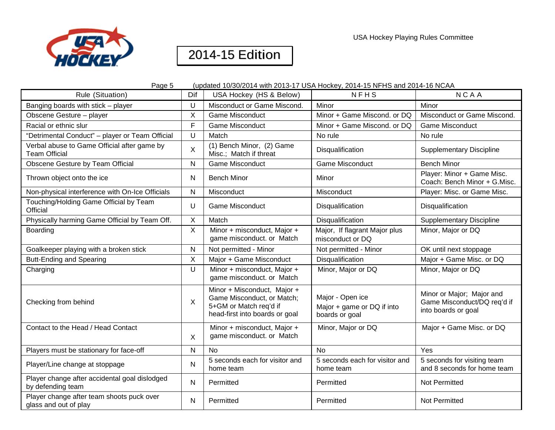

| Page 5<br>(updated 10/30/2014 with 2013-17 USA Hockey, 2014-15 NFHS and 2014-16 NCAA |         |                                                                                                                       |                                                                  |                                                                                 |
|--------------------------------------------------------------------------------------|---------|-----------------------------------------------------------------------------------------------------------------------|------------------------------------------------------------------|---------------------------------------------------------------------------------|
| Rule (Situation)                                                                     | Dif     | USA Hockey (HS & Below)                                                                                               | <b>NFHS</b>                                                      | <b>NCAA</b>                                                                     |
| Banging boards with stick - player                                                   | U       | Misconduct or Game Miscond.                                                                                           | Minor                                                            | Minor                                                                           |
| Obscene Gesture - player                                                             | X       | <b>Game Misconduct</b>                                                                                                | Minor + Game Miscond. or DQ                                      | Misconduct or Game Miscond.                                                     |
| Racial or ethnic slur                                                                | F       | <b>Game Misconduct</b>                                                                                                | Minor + Game Miscond. or DQ                                      | <b>Game Misconduct</b>                                                          |
| "Detrimental Conduct" - player or Team Official                                      | U       | Match                                                                                                                 | No rule                                                          | No rule                                                                         |
| Verbal abuse to Game Official after game by<br><b>Team Official</b>                  | $\sf X$ | (1) Bench Minor, (2) Game<br>Misc.; Match if threat                                                                   | Disqualification                                                 | <b>Supplementary Discipline</b>                                                 |
| Obscene Gesture by Team Official                                                     | N       | <b>Game Misconduct</b>                                                                                                | <b>Game Misconduct</b>                                           | <b>Bench Minor</b>                                                              |
| Thrown object onto the ice                                                           | N       | <b>Bench Minor</b>                                                                                                    | Minor                                                            | Player: Minor + Game Misc.<br>Coach: Bench Minor + G.Misc.                      |
| Non-physical interference with On-Ice Officials                                      | N       | Misconduct                                                                                                            | Misconduct                                                       | Player: Misc. or Game Misc.                                                     |
| Touching/Holding Game Official by Team<br>Official                                   | U       | <b>Game Misconduct</b>                                                                                                | Disqualification                                                 | Disqualification                                                                |
| Physically harming Game Official by Team Off.                                        | X       | Match                                                                                                                 | Disqualification                                                 | <b>Supplementary Discipline</b>                                                 |
| Boarding                                                                             | X       | Minor + misconduct, Major +<br>game misconduct. or Match                                                              | Major, If flagrant Major plus<br>misconduct or DQ                | Minor, Major or DQ                                                              |
| Goalkeeper playing with a broken stick                                               | N       | Not permitted - Minor                                                                                                 | Not permitted - Minor                                            | OK until next stoppage                                                          |
| <b>Butt-Ending and Spearing</b>                                                      | X       | Major + Game Misconduct                                                                                               | Disqualification                                                 | Major + Game Misc. or DQ                                                        |
| Charging                                                                             | U       | Minor + misconduct, Major +<br>game misconduct. or Match                                                              | Minor, Major or DQ                                               | Minor, Major or DQ                                                              |
| Checking from behind                                                                 | X       | Minor + Misconduct, Major +<br>Game Misconduct, or Match;<br>5+GM or Match req'd if<br>head-first into boards or goal | Major - Open ice<br>Major + game or DQ if into<br>boards or goal | Minor or Major; Major and<br>Game Misconduct/DQ req'd if<br>into boards or goal |
| Contact to the Head / Head Contact                                                   | X       | Minor + misconduct, Major +<br>game misconduct. or Match                                                              | Minor, Major or DQ                                               | Major + Game Misc. or DQ                                                        |
| Players must be stationary for face-off                                              | N       | N <sub>0</sub>                                                                                                        | <b>No</b>                                                        | Yes                                                                             |
| Player/Line change at stoppage                                                       | N       | 5 seconds each for visitor and<br>home team                                                                           | 5 seconds each for visitor and<br>home team                      | 5 seconds for visiting team<br>and 8 seconds for home team                      |
| Player change after accidental goal dislodged<br>by defending team                   | N       | Permitted                                                                                                             | Permitted                                                        | Not Permitted                                                                   |
| Player change after team shoots puck over<br>glass and out of play                   | N       | Permitted                                                                                                             | Permitted                                                        | Not Permitted                                                                   |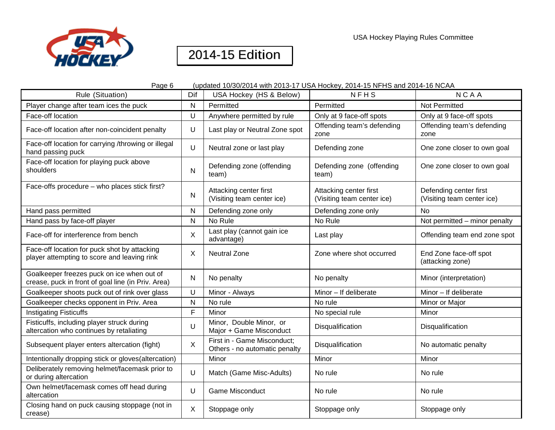

| Page 6                                                                                           | (updated 10/30/2014 with 2013-17 USA Hockey, 2014-15 NFHS and 2014-16 NCAA |                                                              |                                                      |                                                      |
|--------------------------------------------------------------------------------------------------|----------------------------------------------------------------------------|--------------------------------------------------------------|------------------------------------------------------|------------------------------------------------------|
| Rule (Situation)                                                                                 | Dif                                                                        | USA Hockey (HS & Below)                                      | <b>NFHS</b>                                          | <b>NCAA</b>                                          |
| Player change after team ices the puck                                                           | $\mathsf{N}$                                                               | Permitted                                                    | Permitted                                            | <b>Not Permitted</b>                                 |
| Face-off location                                                                                | $\cup$                                                                     | Anywhere permitted by rule                                   | Only at 9 face-off spots                             | Only at 9 face-off spots                             |
| Face-off location after non-coincident penalty                                                   | U                                                                          | Last play or Neutral Zone spot                               | Offending team's defending<br>zone                   | Offending team's defending<br>zone                   |
| Face-off location for carrying /throwing or illegal<br>hand passing puck                         | U                                                                          | Neutral zone or last play                                    | Defending zone                                       | One zone closer to own goal                          |
| Face-off location for playing puck above<br>shoulders                                            | N                                                                          | Defending zone (offending<br>team)                           | Defending zone (offending<br>team)                   | One zone closer to own goal                          |
| Face-offs procedure - who places stick first?                                                    | $\mathsf{N}$                                                               | Attacking center first<br>(Visiting team center ice)         | Attacking center first<br>(Visiting team center ice) | Defending center first<br>(Visiting team center ice) |
| Hand pass permitted                                                                              | $\mathsf{N}$                                                               | Defending zone only                                          | Defending zone only                                  | No                                                   |
| Hand pass by face-off player                                                                     | $\mathsf{N}$                                                               | No Rule                                                      | No Rule                                              | Not permitted - minor penalty                        |
| Face-off for interference from bench                                                             | X                                                                          | Last play (cannot gain ice<br>advantage)                     | Last play                                            | Offending team end zone spot                         |
| Face-off location for puck shot by attacking<br>player attempting to score and leaving rink      | X                                                                          | <b>Neutral Zone</b>                                          | Zone where shot occurred                             | End Zone face-off spot<br>(attacking zone)           |
| Goalkeeper freezes puck on ice when out of<br>crease, puck in front of goal line (in Priv. Area) | $\mathsf{N}$                                                               | No penalty                                                   | No penalty                                           | Minor (interpretation)                               |
| Goalkeeper shoots puck out of rink over glass                                                    | U                                                                          | Minor - Always                                               | Minor - If deliberate                                | Minor - If deliberate                                |
| Goalkeeper checks opponent in Priv. Area                                                         | N                                                                          | No rule                                                      | No rule                                              | Minor or Major                                       |
| <b>Instigating Fisticuffs</b>                                                                    | F                                                                          | Minor                                                        | No special rule                                      | Minor                                                |
| Fisticuffs, including player struck during<br>altercation who continues by retaliating           | U                                                                          | Minor, Double Minor, or<br>Major + Game Misconduct           | Disqualification                                     | Disqualification                                     |
| Subsequent player enters altercation (fight)                                                     | $\boldsymbol{\mathsf{X}}$                                                  | First in - Game Misconduct;<br>Others - no automatic penalty | Disqualification                                     | No automatic penalty                                 |
| Intentionally dropping stick or gloves(altercation)                                              |                                                                            | Minor                                                        | Minor                                                | Minor                                                |
| Deliberately removing helmet/facemask prior to<br>or during altercation                          | U                                                                          | Match (Game Misc-Adults)                                     | No rule                                              | No rule                                              |
| Own helmet/facemask comes off head during<br>altercation                                         | U                                                                          | <b>Game Misconduct</b>                                       | No rule                                              | No rule                                              |
| Closing hand on puck causing stoppage (not in<br>crease)                                         | $\boldsymbol{\mathsf{X}}$                                                  | Stoppage only                                                | Stoppage only                                        | Stoppage only                                        |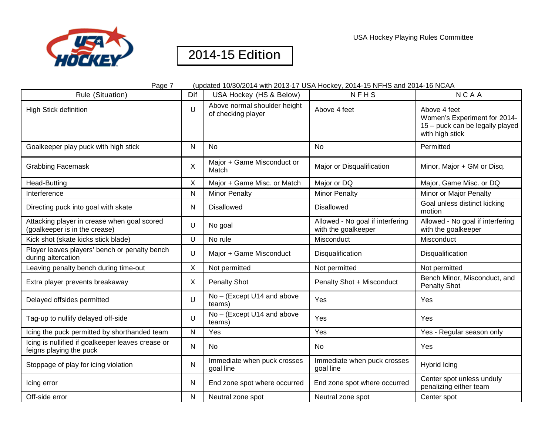



| Page 7                                                                       |              | (updated 10/30/2014 with 2013-17 USA Hockey, 2014-15 NFHS and 2014-16 NCAA |                                                         |                                                                                                    |  |
|------------------------------------------------------------------------------|--------------|----------------------------------------------------------------------------|---------------------------------------------------------|----------------------------------------------------------------------------------------------------|--|
| Rule (Situation)                                                             | Dif          | USA Hockey (HS & Below)                                                    | <b>NFHS</b>                                             | <b>NCAA</b>                                                                                        |  |
| <b>High Stick definition</b>                                                 | U            | Above normal shoulder height<br>of checking player                         | Above 4 feet                                            | Above 4 feet<br>Women's Experiment for 2014-<br>15 - puck can be legally played<br>with high stick |  |
| Goalkeeper play puck with high stick                                         | N            | <b>No</b>                                                                  | <b>No</b>                                               | Permitted                                                                                          |  |
| <b>Grabbing Facemask</b>                                                     | X            | Major + Game Misconduct or<br>Match                                        | Major or Disqualification                               | Minor, Major + GM or Disq.                                                                         |  |
| <b>Head-Butting</b>                                                          | Χ            | Major + Game Misc. or Match                                                | Major or DQ                                             | Major, Game Misc. or DQ                                                                            |  |
| Interference                                                                 | $\mathsf{N}$ | <b>Minor Penalty</b>                                                       | <b>Minor Penalty</b>                                    | Minor or Major Penalty                                                                             |  |
| Directing puck into goal with skate                                          | N            | <b>Disallowed</b>                                                          | <b>Disallowed</b>                                       | Goal unless distinct kicking<br>motion                                                             |  |
| Attacking player in crease when goal scored<br>(goalkeeper is in the crease) | U            | No goal                                                                    | Allowed - No goal if interfering<br>with the goalkeeper | Allowed - No goal if interfering<br>with the goalkeeper                                            |  |
| Kick shot (skate kicks stick blade)                                          | U            | No rule                                                                    | Misconduct                                              | Misconduct                                                                                         |  |
| Player leaves players' bench or penalty bench<br>during altercation          | U            | Major + Game Misconduct                                                    | Disqualification                                        | Disqualification                                                                                   |  |
| Leaving penalty bench during time-out                                        | Χ            | Not permitted                                                              | Not permitted                                           | Not permitted                                                                                      |  |
| Extra player prevents breakaway                                              | X            | <b>Penalty Shot</b>                                                        | Penalty Shot + Misconduct                               | Bench Minor, Misconduct, and<br>Penalty Shot                                                       |  |
| Delayed offsides permitted                                                   | U            | No - (Except U14 and above<br>teams)                                       | Yes                                                     | Yes                                                                                                |  |
| Tag-up to nullify delayed off-side                                           | U            | No - (Except U14 and above<br>teams)                                       | Yes                                                     | Yes                                                                                                |  |
| Icing the puck permitted by shorthanded team                                 | N            | Yes                                                                        | Yes                                                     | Yes - Regular season only                                                                          |  |
| Icing is nullified if goalkeeper leaves crease or<br>feigns playing the puck | Ν            | No                                                                         | <b>No</b>                                               | Yes                                                                                                |  |
| Stoppage of play for icing violation                                         | $\mathsf{N}$ | Immediate when puck crosses<br>goal line                                   | Immediate when puck crosses<br>goal line                | Hybrid Icing                                                                                       |  |
| Icing error                                                                  | N            | End zone spot where occurred                                               | End zone spot where occurred                            | Center spot unless unduly<br>penalizing either team                                                |  |
| Off-side error                                                               | Ν            | Neutral zone spot                                                          | Neutral zone spot                                       | Center spot                                                                                        |  |